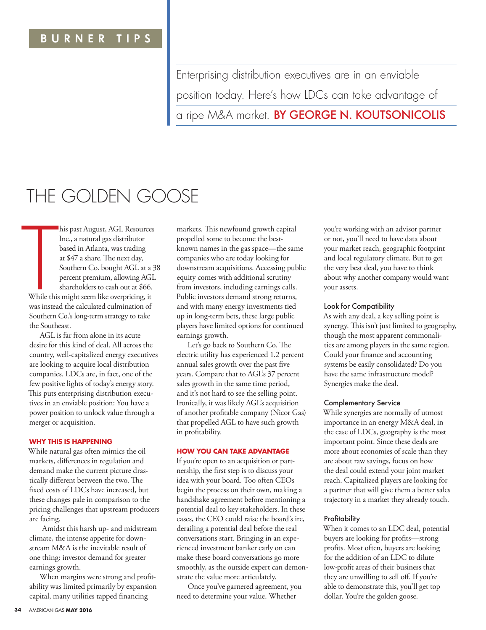### BURNER TIPS

Enterprising distribution executives are in an enviable

position today. Here's how LDCs can take advantage of a ripe M&A market. **BY GEORGE N. KOUTSONICOLIS** 

# THE GOLDEN GOOSE

**THE SET SET SET SET SET SET S**<br>While this<br>was instea his past August, AGL Resources Inc., a natural gas distributor based in Atlanta, was trading at \$47 a share. The next day, Southern Co. bought AGL at a 38 percent premium, allowing AGL shareholders to cash out at \$66. While this might seem like overpricing, it was instead the calculated culmination of Southern Co.'s long-term strategy to take the Southeast.

AGL is far from alone in its acute desire for this kind of deal. All across the country, well-capitalized energy executives are looking to acquire local distribution companies. LDCs are, in fact, one of the few positive lights of today's energy story. This puts enterprising distribution executives in an enviable position: You have a power position to unlock value through a merger or acquisition.

#### **WHY THIS IS HAPPENING**

While natural gas often mimics the oil markets, differences in regulation and demand make the current picture drastically different between the two. The fixed costs of LDCs have increased, but these changes pale in comparison to the pricing challenges that upstream producers are facing.

 Amidst this harsh up- and midstream climate, the intense appetite for downstream M&A is the inevitable result of one thing: investor demand for greater earnings growth.

When margins were strong and profitability was limited primarily by expansion capital, many utilities tapped financing

markets. This newfound growth capital propelled some to become the bestknown names in the gas space—the same companies who are today looking for downstream acquisitions. Accessing public equity comes with additional scrutiny from investors, including earnings calls. Public investors demand strong returns, and with many energy investments tied up in long-term bets, these large public players have limited options for continued earnings growth.

Let's go back to Southern Co. The electric utility has experienced 1.2 percent annual sales growth over the past five years. Compare that to AGL's 37 percent sales growth in the same time period, and it's not hard to see the selling point. Ironically, it was likely AGL's acquisition of another profitable company (Nicor Gas) that propelled AGL to have such growth in profitability.

#### **HOW YOU CAN TAKE ADVANTAGE**

If you're open to an acquisition or partnership, the first step is to discuss your idea with your board. Too often CEOs begin the process on their own, making a handshake agreement before mentioning a potential deal to key stakeholders. In these cases, the CEO could raise the board's ire, derailing a potential deal before the real conversations start. Bringing in an experienced investment banker early on can make these board conversations go more smoothly, as the outside expert can demonstrate the value more articulately.

Once you've garnered agreement, you need to determine your value. Whether

you're working with an advisor partner or not, you'll need to have data about your market reach, geographic footprint and local regulatory climate. But to get the very best deal, you have to think about why another company would want your assets.

#### Look for Compatibility

As with any deal, a key selling point is synergy. This isn't just limited to geography, though the most apparent commonalities are among players in the same region. Could your finance and accounting systems be easily consolidated? Do you have the same infrastructure model? Synergies make the deal.

#### Complementary Service

While synergies are normally of utmost importance in an energy M&A deal, in the case of LDCs, geography is the most important point. Since these deals are more about economies of scale than they are about raw savings, focus on how the deal could extend your joint market reach. Capitalized players are looking for a partner that will give them a better sales trajectory in a market they already touch.

#### **Profitability**

When it comes to an LDC deal, potential buyers are looking for profits—strong profits. Most often, buyers are looking for the addition of an LDC to dilute low-profit areas of their business that they are unwilling to sell off. If you're able to demonstrate this, you'll get top dollar. You're the golden goose.